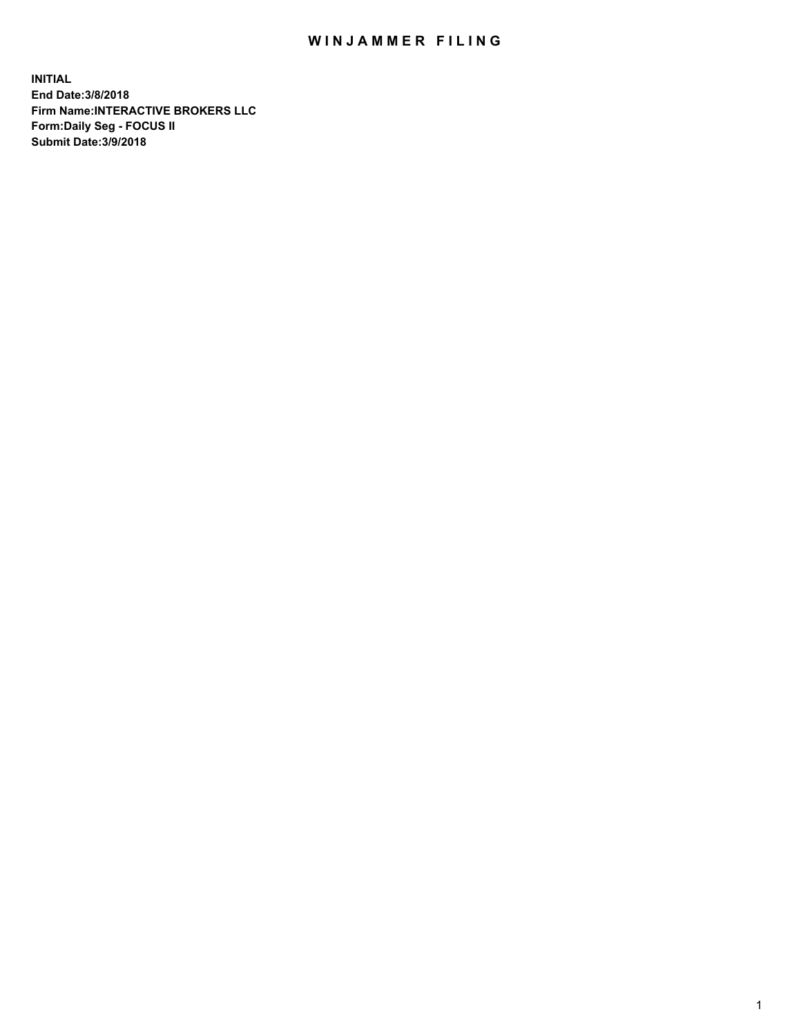## WIN JAMMER FILING

**INITIAL End Date:3/8/2018 Firm Name:INTERACTIVE BROKERS LLC Form:Daily Seg - FOCUS II Submit Date:3/9/2018**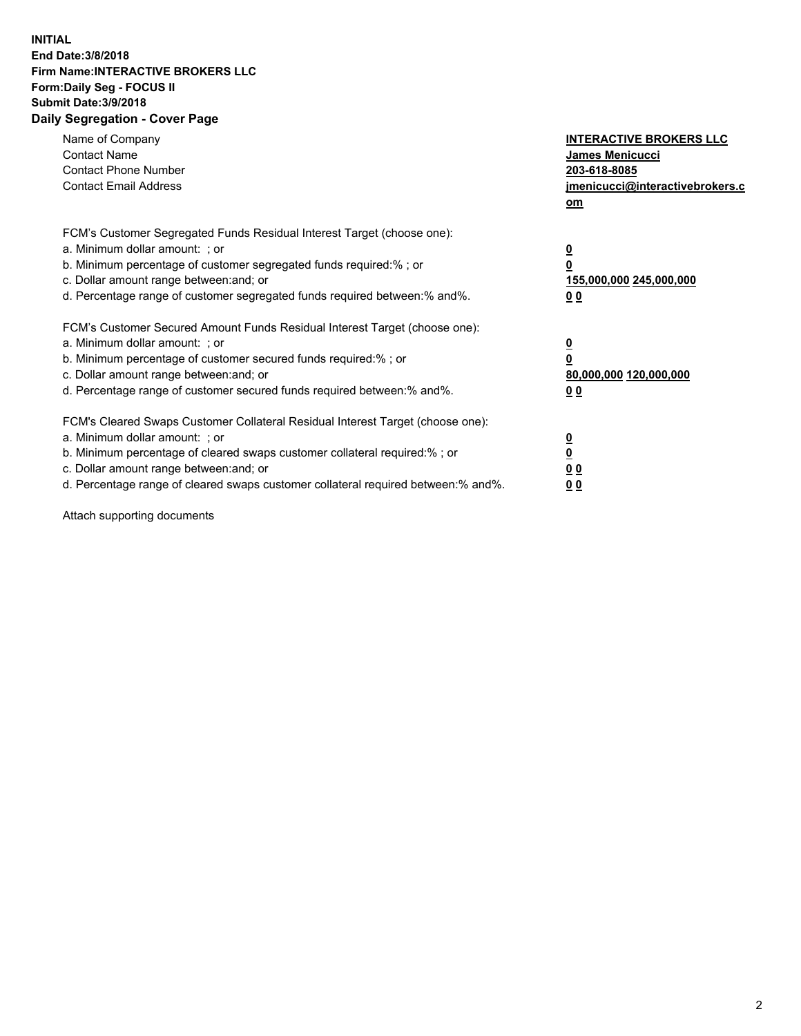## **INITIAL End Date:3/8/2018 Firm Name:INTERACTIVE BROKERS LLC Form:Daily Seg - FOCUS II Submit Date:3/9/2018 Daily Segregation - Cover Page**

| Name of Company<br><b>Contact Name</b><br><b>Contact Phone Number</b><br><b>Contact Email Address</b>                                                                                                                                                                                                                          | <b>INTERACTIVE BROKERS LLC</b><br>James Menicucci<br>203-618-8085<br>jmenicucci@interactivebrokers.c<br>om |
|--------------------------------------------------------------------------------------------------------------------------------------------------------------------------------------------------------------------------------------------------------------------------------------------------------------------------------|------------------------------------------------------------------------------------------------------------|
| FCM's Customer Segregated Funds Residual Interest Target (choose one):<br>a. Minimum dollar amount: ; or<br>b. Minimum percentage of customer segregated funds required:%; or<br>c. Dollar amount range between: and; or<br>d. Percentage range of customer segregated funds required between:% and%.                          | $\overline{\mathbf{0}}$<br>$\overline{\mathbf{0}}$<br>155,000,000 245,000,000<br>00                        |
| FCM's Customer Secured Amount Funds Residual Interest Target (choose one):<br>a. Minimum dollar amount: ; or<br>b. Minimum percentage of customer secured funds required:%; or<br>c. Dollar amount range between: and; or<br>d. Percentage range of customer secured funds required between: % and %.                          | $\overline{\mathbf{0}}$<br>0<br>80,000,000 120,000,000<br>00                                               |
| FCM's Cleared Swaps Customer Collateral Residual Interest Target (choose one):<br>a. Minimum dollar amount: ; or<br>b. Minimum percentage of cleared swaps customer collateral required:% ; or<br>c. Dollar amount range between: and; or<br>d. Percentage range of cleared swaps customer collateral required between:% and%. | $\overline{\mathbf{0}}$<br>$\underline{\mathbf{0}}$<br>0 <sub>0</sub><br>0 <sub>0</sub>                    |

Attach supporting documents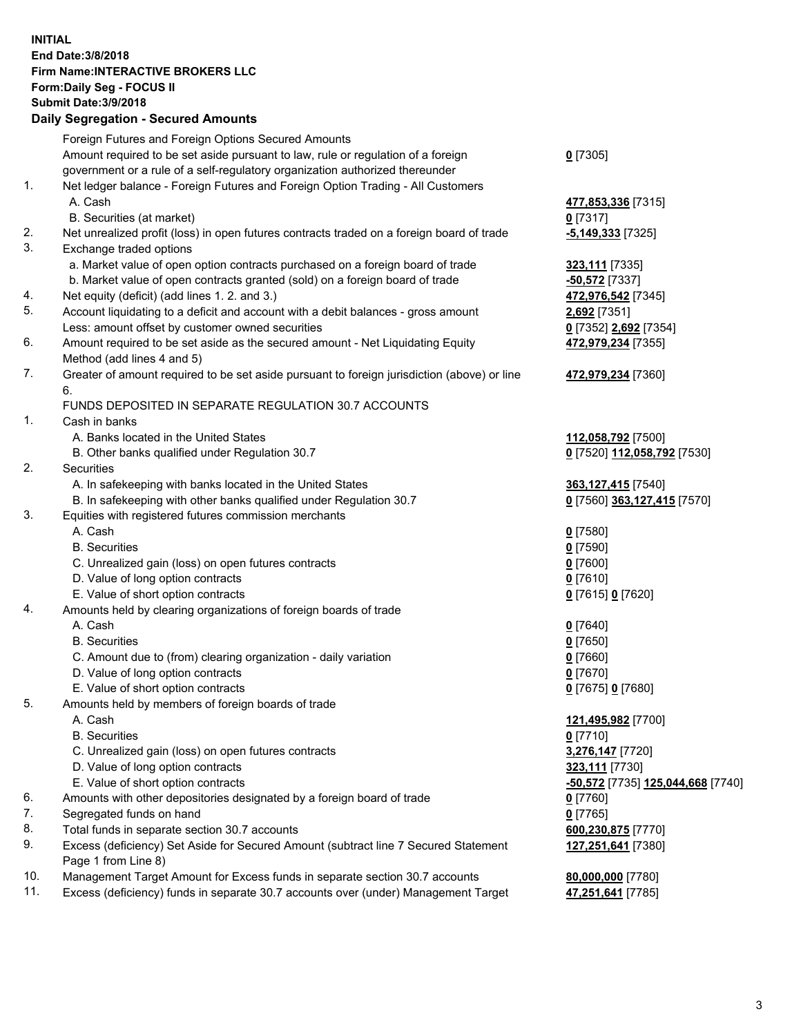## **INITIAL End Date:3/8/2018 Firm Name:INTERACTIVE BROKERS LLC Form:Daily Seg - FOCUS II Submit Date:3/9/2018 Daily Segregation - Secured Amounts**

| Dany Ocgregation - Oceanea Annoanta                                                         |                                                                                    |
|---------------------------------------------------------------------------------------------|------------------------------------------------------------------------------------|
| Foreign Futures and Foreign Options Secured Amounts                                         |                                                                                    |
| Amount required to be set aside pursuant to law, rule or regulation of a foreign            | $0$ [7305]                                                                         |
| government or a rule of a self-regulatory organization authorized thereunder                |                                                                                    |
| Net ledger balance - Foreign Futures and Foreign Option Trading - All Customers             |                                                                                    |
| A. Cash                                                                                     | 477,853,336 [7315]                                                                 |
| B. Securities (at market)                                                                   | $0$ [7317]                                                                         |
| Net unrealized profit (loss) in open futures contracts traded on a foreign board of trade   | -5,149,333 [7325]                                                                  |
| Exchange traded options                                                                     |                                                                                    |
| a. Market value of open option contracts purchased on a foreign board of trade              | 323,111 [7335]                                                                     |
| b. Market value of open contracts granted (sold) on a foreign board of trade                | -50,572 <sup>[7337]</sup>                                                          |
| Net equity (deficit) (add lines 1.2. and 3.)                                                | 472,976,542 [7345]                                                                 |
| Account liquidating to a deficit and account with a debit balances - gross amount           | 2,692 [7351]                                                                       |
| Less: amount offset by customer owned securities                                            | 0 [7352] 2,692 [7354]                                                              |
| Amount required to be set aside as the secured amount - Net Liquidating Equity              | 472,979,234 [7355]                                                                 |
| Method (add lines 4 and 5)                                                                  |                                                                                    |
| Greater of amount required to be set aside pursuant to foreign jurisdiction (above) or line | 472,979,234 [7360]                                                                 |
| 6.                                                                                          |                                                                                    |
| FUNDS DEPOSITED IN SEPARATE REGULATION 30.7 ACCOUNTS                                        |                                                                                    |
| Cash in banks                                                                               |                                                                                    |
| A. Banks located in the United States                                                       | 112,058,792 [7500]                                                                 |
| B. Other banks qualified under Regulation 30.7                                              | 0 [7520] 112,058,792 [7530]                                                        |
| Securities                                                                                  |                                                                                    |
| A. In safekeeping with banks located in the United States                                   | 363,127,415 [7540]                                                                 |
| B. In safekeeping with other banks qualified under Regulation 30.7                          | 0 [7560] 363,127,415 [7570]                                                        |
| Equities with registered futures commission merchants                                       |                                                                                    |
| A. Cash                                                                                     | $0$ [7580]                                                                         |
| <b>B.</b> Securities                                                                        | $0$ [7590]                                                                         |
| C. Unrealized gain (loss) on open futures contracts                                         | $0$ [7600]                                                                         |
| D. Value of long option contracts                                                           | $0$ [7610]                                                                         |
| E. Value of short option contracts                                                          | 0 [7615] 0 [7620]                                                                  |
| Amounts held by clearing organizations of foreign boards of trade                           |                                                                                    |
| A. Cash                                                                                     | $0$ [7640]                                                                         |
| <b>B.</b> Securities                                                                        | $0$ [7650]                                                                         |
| C. Amount due to (from) clearing organization - daily variation                             | $0$ [7660]                                                                         |
| D. Value of long option contracts                                                           | $0$ [7670]                                                                         |
| E. Value of short option contracts                                                          | 0 [7675] 0 [7680]                                                                  |
| Amounts held by members of foreign boards of trade                                          |                                                                                    |
| A. Cash                                                                                     | 121,495,982 [7700]                                                                 |
| <b>B.</b> Securities                                                                        | $0$ [7710]                                                                         |
| C. Unrealized gain (loss) on open futures contracts                                         | 3,276,147 [7720]                                                                   |
| D. Value of long option contracts                                                           | 323,111 [7730]                                                                     |
| E. Value of short option contracts                                                          | -50,572 [7735] 125,044,668 [7740]                                                  |
| Amounts with other depositories designated by a foreign board of trade                      | 0 [7760]                                                                           |
| Segregated funds on hand                                                                    | $0$ [7765]                                                                         |
| Total funds in separate section 30.7 accounts                                               | 600,230,875 [7770]                                                                 |
| Excess (deficiency) Set Aside for Secured Amount (subtract line 7 Secured Statement         | 127,251,641 [7380]                                                                 |
| Page 1 from Line 8)                                                                         |                                                                                    |
| Management Target Amount for Excess funds in separate section 30.7 accounts                 | 80,000,000 [7780]                                                                  |
|                                                                                             | 47,251,641 [7785]                                                                  |
|                                                                                             | Excess (deficiency) funds in separate 30.7 accounts over (under) Management Target |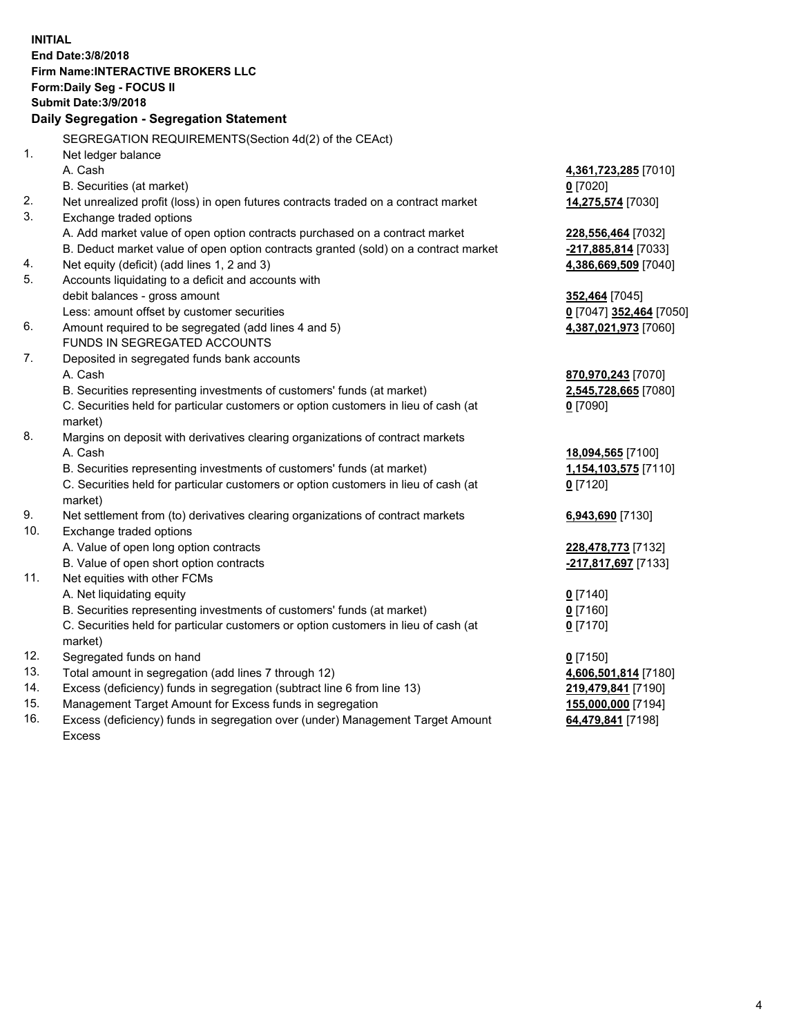**INITIAL End Date:3/8/2018 Firm Name:INTERACTIVE BROKERS LLC Form:Daily Seg - FOCUS II Submit Date:3/9/2018 Daily Segregation - Segregation Statement** SEGREGATION REQUIREMENTS(Section 4d(2) of the CEAct) 1. Net ledger balance A. Cash **4,361,723,285** [7010] B. Securities (at market) **0** [7020] 2. Net unrealized profit (loss) in open futures contracts traded on a contract market **14,275,574** [7030] 3. Exchange traded options A. Add market value of open option contracts purchased on a contract market **228,556,464** [7032] B. Deduct market value of open option contracts granted (sold) on a contract market **-217,885,814** [7033] 4. Net equity (deficit) (add lines 1, 2 and 3) **4,386,669,509** [7040] 5. Accounts liquidating to a deficit and accounts with debit balances - gross amount **352,464** [7045] Less: amount offset by customer securities **0** [7047] **352,464** [7050] 6. Amount required to be segregated (add lines 4 and 5) **4,387,021,973** [7060] FUNDS IN SEGREGATED ACCOUNTS 7. Deposited in segregated funds bank accounts A. Cash **870,970,243** [7070] B. Securities representing investments of customers' funds (at market) **2,545,728,665** [7080] C. Securities held for particular customers or option customers in lieu of cash (at market) **0** [7090] 8. Margins on deposit with derivatives clearing organizations of contract markets A. Cash **18,094,565** [7100] B. Securities representing investments of customers' funds (at market) **1,154,103,575** [7110] C. Securities held for particular customers or option customers in lieu of cash (at market) **0** [7120] 9. Net settlement from (to) derivatives clearing organizations of contract markets **6,943,690** [7130] 10. Exchange traded options A. Value of open long option contracts **228,478,773** [7132] B. Value of open short option contracts **-217,817,697** [7133] 11. Net equities with other FCMs A. Net liquidating equity **0** [7140] B. Securities representing investments of customers' funds (at market) **0** [7160] C. Securities held for particular customers or option customers in lieu of cash (at market) **0** [7170] 12. Segregated funds on hand **0** [7150] 13. Total amount in segregation (add lines 7 through 12) **4,606,501,814** [7180] 14. Excess (deficiency) funds in segregation (subtract line 6 from line 13) **219,479,841** [7190] 15. Management Target Amount for Excess funds in segregation **155,000,000** [7194] **64,479,841** [7198]

16. Excess (deficiency) funds in segregation over (under) Management Target Amount Excess

4